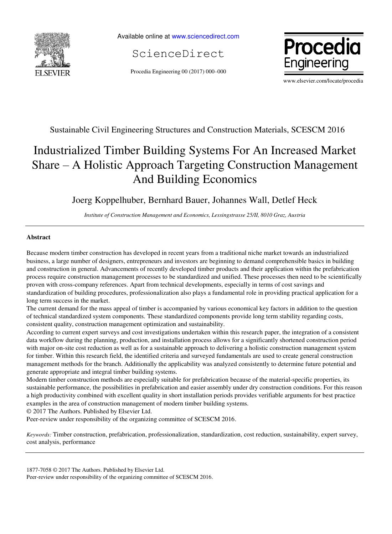

Available online a[t www.sciencedirect.com](http://www.sciencedirect.com/science/journal/22120173)

ScienceDirect

Procedia Engineering 00 (2017) 000–000



www.elsevier.com/locate/procedia

# Sustainable Civil Engineering Structures and Construction Materials, SCESCM 2016

# Industrialized Timber Building Systems For An Increased Market Share – A Holistic Approach Targeting Construction Management And Building Economics

# Joerg Koppelhuber, Bernhard Bauer, Johannes Wall, Detlef Heck

*Institute of Construction Management and Economics, Lessingstrasse 25/II, 8010 Graz, Austria* 

# **Abstract**

Because modern timber construction has developed in recent years from a traditional niche market towards an industrialized business, a large number of designers, entrepreneurs and investors are beginning to demand comprehensible basics in building and construction in general. Advancements of recently developed timber products and their application within the prefabrication process require construction management processes to be standardized and unified. These processes then need to be scientifically proven with cross-company references. Apart from technical developments, especially in terms of cost savings and standardization of building procedures, professionalization also plays a fundamental role in providing practical application for a long term success in the market.

The current demand for the mass appeal of timber is accompanied by various economical key factors in addition to the question of technical standardized system components. These standardized components provide long term stability regarding costs, consistent quality, construction management optimization and sustainability.

According to current expert surveys and cost investigations undertaken within this research paper, the integration of a consistent data workflow during the planning, production, and installation process allows for a significantly shortened construction period with major on-site cost reduction as well as for a sustainable approach to delivering a holistic construction management system for timber. Within this research field, the identified criteria and surveyed fundamentals are used to create general construction management methods for the branch. Additionally the applicability was analyzed consistently to determine future potential and generate appropriate and integral timber building systems.

Modern timber construction methods are especially suitable for prefabrication because of the material-specific properties, its sustainable performance, the possibilities in prefabrication and easier assembly under dry construction conditions. For this reason a high productivity combined with excellent quality in short installation periods provides verifiable arguments for best practice examples in the area of construction management of modern timber building systems.

© 2017 The Authors. Published by Elsevier Ltd.

Peer-review under responsibility of the organizing committee of SCESCM 2016.

*Keywords:* Timber construction, prefabrication, professionalization, standardization, cost reduction, sustainability, expert survey, cost analysis, performance

Peer-review under responsibility of the organizing committee of SCESCM 2016.

<sup>1877-7058 © 2017</sup> The Authors. Published by Elsevier Ltd.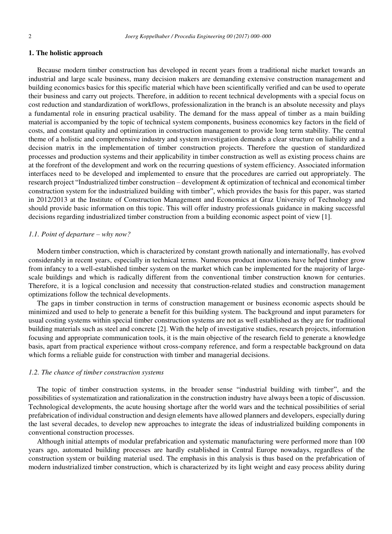## **1. The holistic approach**

Because modern timber construction has developed in recent years from a traditional niche market towards an industrial and large scale business, many decision makers are demanding extensive construction management and building economics basics for this specific material which have been scientifically verified and can be used to operate their business and carry out projects. Therefore, in addition to recent technical developments with a special focus on cost reduction and standardization of workflows, professionalization in the branch is an absolute necessity and plays a fundamental role in ensuring practical usability. The demand for the mass appeal of timber as a main building material is accompanied by the topic of technical system components, business economics key factors in the field of costs, and constant quality and optimization in construction management to provide long term stability. The central theme of a holistic and comprehensive industry and system investigation demands a clear structure on liability and a decision matrix in the implementation of timber construction projects. Therefore the question of standardized processes and production systems and their applicability in timber construction as well as existing process chains are at the forefront of the development and work on the recurring questions of system efficiency. Associated information interfaces need to be developed and implemented to ensure that the procedures are carried out appropriately. The research project "Industrialized timber construction – development & optimization of technical and economical timber construction system for the industrialized building with timber", which provides the basis for this paper, was started in 2012/2013 at the Institute of Construction Management and Economics at Graz University of Technology and should provide basic information on this topic. This will offer industry professionals guidance in making successful decisions regarding industrialized timber construction from a building economic aspect point of view [1].

## *1.1. Point of departure – why now?*

Modern timber construction, which is characterized by constant growth nationally and internationally, has evolved considerably in recent years, especially in technical terms. Numerous product innovations have helped timber grow from infancy to a well-established timber system on the market which can be implemented for the majority of largescale buildings and which is radically different from the conventional timber construction known for centuries. Therefore, it is a logical conclusion and necessity that construction-related studies and construction management optimizations follow the technical developments.

The gaps in timber construction in terms of construction management or business economic aspects should be minimized and used to help to generate a benefit for this building system. The background and input parameters for usual costing systems within special timber construction systems are not as well established as they are for traditional building materials such as steel and concrete [2]. With the help of investigative studies, research projects, information focusing and appropriate communication tools, it is the main objective of the research field to generate a knowledge basis, apart from practical experience without cross-company reference, and form a respectable background on data which forms a reliable guide for construction with timber and managerial decisions.

#### *1.2. The chance of timber construction systems*

The topic of timber construction systems, in the broader sense "industrial building with timber", and the possibilities of systematization and rationalization in the construction industry have always been a topic of discussion. Technological developments, the acute housing shortage after the world wars and the technical possibilities of serial prefabrication of individual construction and design elements have allowed planners and developers, especially during the last several decades, to develop new approaches to integrate the ideas of industrialized building components in conventional construction processes.

Although initial attempts of modular prefabrication and systematic manufacturing were performed more than 100 years ago, automated building processes are hardly established in Central Europe nowadays, regardless of the construction system or building material used. The emphasis in this analysis is thus based on the prefabrication of modern industrialized timber construction, which is characterized by its light weight and easy process ability during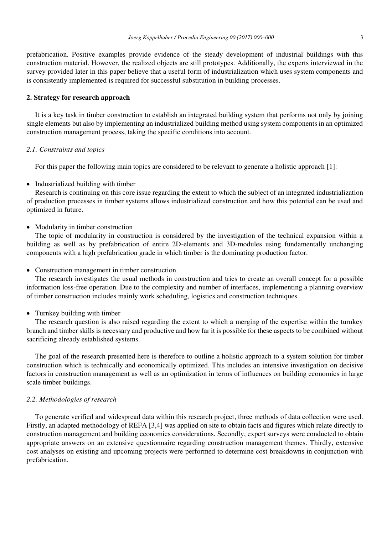prefabrication. Positive examples provide evidence of the steady development of industrial buildings with this construction material. However, the realized objects are still prototypes. Additionally, the experts interviewed in the survey provided later in this paper believe that a useful form of industrialization which uses system components and is consistently implemented is required for successful substitution in building processes.

# **2. Strategy for research approach**

It is a key task in timber construction to establish an integrated building system that performs not only by joining single elements but also by implementing an industrialized building method using system components in an optimized construction management process, taking the specific conditions into account.

## *2.1. Constraints and topics*

For this paper the following main topics are considered to be relevant to generate a holistic approach [1]:

## • Industrialized building with timber

Research is continuing on this core issue regarding the extent to which the subject of an integrated industrialization of production processes in timber systems allows industrialized construction and how this potential can be used and optimized in future.

#### • Modularity in timber construction

The topic of modularity in construction is considered by the investigation of the technical expansion within a building as well as by prefabrication of entire 2D-elements and 3D-modules using fundamentally unchanging components with a high prefabrication grade in which timber is the dominating production factor.

#### • Construction management in timber construction

The research investigates the usual methods in construction and tries to create an overall concept for a possible information loss-free operation. Due to the complexity and number of interfaces, implementing a planning overview of timber construction includes mainly work scheduling, logistics and construction techniques.

#### • Turnkey building with timber

The research question is also raised regarding the extent to which a merging of the expertise within the turnkey branch and timber skills is necessary and productive and how far it is possible for these aspects to be combined without sacrificing already established systems.

The goal of the research presented here is therefore to outline a holistic approach to a system solution for timber construction which is technically and economically optimized. This includes an intensive investigation on decisive factors in construction management as well as an optimization in terms of influences on building economics in large scale timber buildings.

# *2.2. Methodologies of research*

To generate verified and widespread data within this research project, three methods of data collection were used. Firstly, an adapted methodology of REFA [3,4] was applied on site to obtain facts and figures which relate directly to construction management and building economics considerations. Secondly, expert surveys were conducted to obtain appropriate answers on an extensive questionnaire regarding construction management themes. Thirdly, extensive cost analyses on existing and upcoming projects were performed to determine cost breakdowns in conjunction with prefabrication.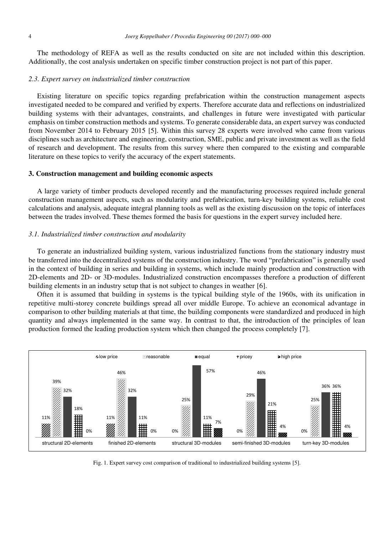The methodology of REFA as well as the results conducted on site are not included within this description. Additionally, the cost analysis undertaken on specific timber construction project is not part of this paper.

#### *2.3. Expert survey on industrialized timber construction*

Existing literature on specific topics regarding prefabrication within the construction management aspects investigated needed to be compared and verified by experts. Therefore accurate data and reflections on industrialized building systems with their advantages, constraints, and challenges in future were investigated with particular emphasis on timber construction methods and systems. To generate considerable data, an expert survey was conducted from November 2014 to February 2015 [5]. Within this survey 28 experts were involved who came from various disciplines such as architecture and engineering, construction, SME, public and private investment as well as the field of research and development. The results from this survey where then compared to the existing and comparable literature on these topics to verify the accuracy of the expert statements.

#### **3. Construction management and building economic aspects**

A large variety of timber products developed recently and the manufacturing processes required include general construction management aspects, such as modularity and prefabrication, turn-key building systems, reliable cost calculations and analysis, adequate integral planning tools as well as the existing discussion on the topic of interfaces between the trades involved. These themes formed the basis for questions in the expert survey included here.

#### *3.1. Industrialized timber construction and modularity*

To generate an industrialized building system, various industrialized functions from the stationary industry must be transferred into the decentralized systems of the construction industry. The word "prefabrication" is generally used in the context of building in series and building in systems, which include mainly production and construction with 2D-elements and 2D- or 3D-modules. Industrialized construction encompasses therefore a production of different building elements in an industry setup that is not subject to changes in weather [6].

Often it is assumed that building in systems is the typical building style of the 1960s, with its unification in repetitive multi-storey concrete buildings spread all over middle Europe. To achieve an economical advantage in comparison to other building materials at that time, the building components were standardized and produced in high quantity and always implemented in the same way. In contrast to that, the introduction of the principles of lean production formed the leading production system which then changed the process completely [7].



Fig. 1. Expert survey cost comparison of traditional to industrialized building systems [5].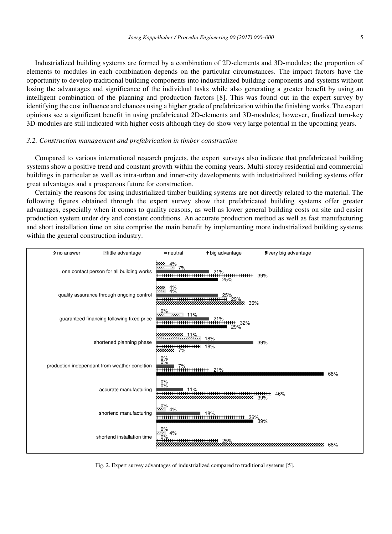Industrialized building systems are formed by a combination of 2D-elements and 3D-modules; the proportion of elements to modules in each combination depends on the particular circumstances. The impact factors have the opportunity to develop traditional building components into industrialized building components and systems without losing the advantages and significance of the individual tasks while also generating a greater benefit by using an intelligent combination of the planning and production factors [8]. This was found out in the expert survey by identifying the cost influence and chances using a higher grade of prefabrication within the finishing works. The expert opinions see a significant benefit in using prefabricated 2D-elements and 3D-modules; however, finalized turn-key 3D-modules are still indicated with higher costs although they do show very large potential in the upcoming years.

#### *3.2. Construction management and prefabrication in timber construction*

Compared to various international research projects, the expert surveys also indicate that prefabricated building systems show a positive trend and constant growth within the coming years. Multi-storey residential and commercial buildings in particular as well as intra-urban and inner-city developments with industrialized building systems offer great advantages and a prosperous future for construction.

Certainly the reasons for using industrialized timber building systems are not directly related to the material. The following figures obtained through the expert survey show that prefabricated building systems offer greater advantages, especially when it comes to quality reasons, as well as lower general building costs on site and easier production system under dry and constant conditions. An accurate production method as well as fast manufacturing and short installation time on site comprise the main benefit by implementing more industrialized building systems within the general construction industry.



Fig. 2. Expert survey advantages of industrialized compared to traditional systems [5].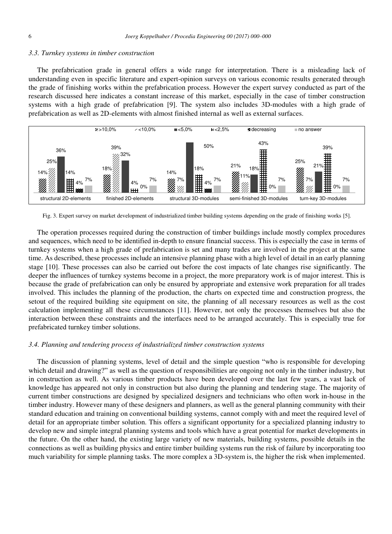#### *3.3. Turnkey systems in timber construction*

The prefabrication grade in general offers a wide range for interpretation. There is a misleading lack of understanding even in specific literature and expert-opinion surveys on various economic results generated through the grade of finishing works within the prefabrication process. However the expert survey conducted as part of the research discussed here indicates a constant increase of this market, especially in the case of timber construction systems with a high grade of prefabrication [9]. The system also includes 3D-modules with a high grade of prefabrication as well as 2D-elements with almost finished internal as well as external surfaces.



Fig. 3. Expert survey on market development of industrialized timber building systems depending on the grade of finishing works [5].

The operation processes required during the construction of timber buildings include mostly complex procedures and sequences, which need to be identified in-depth to ensure financial success. This is especially the case in terms of turnkey systems when a high grade of prefabrication is set and many trades are involved in the project at the same time. As described, these processes include an intensive planning phase with a high level of detail in an early planning stage [10]. These processes can also be carried out before the cost impacts of late changes rise significantly. The deeper the influences of turnkey systems become in a project, the more preparatory work is of major interest. This is because the grade of prefabrication can only be ensured by appropriate and extensive work preparation for all trades involved. This includes the planning of the production, the charts on expected time and construction progress, the setout of the required building site equipment on site, the planning of all necessary resources as well as the cost calculation implementing all these circumstances [11]. However, not only the processes themselves but also the interaction between these constraints and the interfaces need to be arranged accurately. This is especially true for prefabricated turnkey timber solutions.

#### *3.4. Planning and tendering process of industrialized timber construction systems*

The discussion of planning systems, level of detail and the simple question "who is responsible for developing which detail and drawing?" as well as the question of responsibilities are ongoing not only in the timber industry, but in construction as well. As various timber products have been developed over the last few years, a vast lack of knowledge has appeared not only in construction but also during the planning and tendering stage. The majority of current timber constructions are designed by specialized designers and technicians who often work in-house in the timber industry. However many of these designers and planners, as well as the general planning community with their standard education and training on conventional building systems, cannot comply with and meet the required level of detail for an appropriate timber solution. This offers a significant opportunity for a specialized planning industry to develop new and simple integral planning systems and tools which have a great potential for market developments in the future. On the other hand, the existing large variety of new materials, building systems, possible details in the connections as well as building physics and entire timber building systems run the risk of failure by incorporating too much variability for simple planning tasks. The more complex a 3D-system is, the higher the risk when implemented.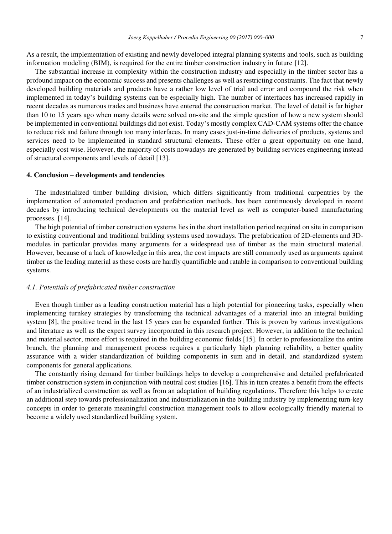As a result, the implementation of existing and newly developed integral planning systems and tools, such as building information modeling (BIM), is required for the entire timber construction industry in future [12].

The substantial increase in complexity within the construction industry and especially in the timber sector has a profound impact on the economic success and presents challenges as well as restricting constraints. The fact that newly developed building materials and products have a rather low level of trial and error and compound the risk when implemented in today's building systems can be especially high. The number of interfaces has increased rapidly in recent decades as numerous trades and business have entered the construction market. The level of detail is far higher than 10 to 15 years ago when many details were solved on-site and the simple question of how a new system should be implemented in conventional buildings did not exist. Today's mostly complex CAD-CAM systems offer the chance to reduce risk and failure through too many interfaces. In many cases just-in-time deliveries of products, systems and services need to be implemented in standard structural elements. These offer a great opportunity on one hand, especially cost wise. However, the majority of costs nowadays are generated by building services engineering instead of structural components and levels of detail [13].

#### **4. Conclusion – developments and tendencies**

The industrialized timber building division, which differs significantly from traditional carpentries by the implementation of automated production and prefabrication methods, has been continuously developed in recent decades by introducing technical developments on the material level as well as computer-based manufacturing processes. [14].

The high potential of timber construction systems lies in the short installation period required on site in comparison to existing conventional and traditional building systems used nowadays. The prefabrication of 2D-elements and 3Dmodules in particular provides many arguments for a widespread use of timber as the main structural material. However, because of a lack of knowledge in this area, the cost impacts are still commonly used as arguments against timber as the leading material as these costs are hardly quantifiable and ratable in comparison to conventional building systems.

# *4.1. Potentials of prefabricated timber construction*

Even though timber as a leading construction material has a high potential for pioneering tasks, especially when implementing turnkey strategies by transforming the technical advantages of a material into an integral building system [8], the positive trend in the last 15 years can be expanded further. This is proven by various investigations and literature as well as the expert survey incorporated in this research project. However, in addition to the technical and material sector, more effort is required in the building economic fields [15]. In order to professionalize the entire branch, the planning and management process requires a particularly high planning reliability, a better quality assurance with a wider standardization of building components in sum and in detail, and standardized system components for general applications.

The constantly rising demand for timber buildings helps to develop a comprehensive and detailed prefabricated timber construction system in conjunction with neutral cost studies [16]. This in turn creates a benefit from the effects of an industrialized construction as well as from an adaptation of building regulations. Therefore this helps to create an additional step towards professionalization and industrialization in the building industry by implementing turn-key concepts in order to generate meaningful construction management tools to allow ecologically friendly material to become a widely used standardized building system.